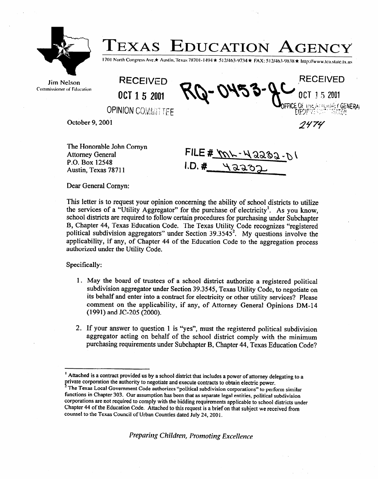

## **TEXAS EDUCATION AGENCY**

1701 North Congress Ave.★ Austin, Texas 78701-1494 ★ 512/463-9734 ★ FAX: 512/463-9838 ★ http://www.tea.state.tx.us

Jim Nelson **Commissioner of Education** 

**RECEIVED RECEIVED** OCT 1 5 2001

1474

**OPINION COMMITTEE** 

October 9,200l

P.O. Box 12548  $P. \circ P.$  Box 12548

FILE #  $\mathcal{W}$  $I.D.$ #

 $\mu$ astin, Texas 78711 Dear General Comyn:

The Honorable John Comyn

This letter is to request your opinion concerning the ability of school districts to utilize the services of a "Utility Aggregator" for the purchase of electricity<sup>1</sup>. As you know. school districts are required to follow certain procedures for purchasing under Subchapter B. Chapter 44. Texas Education Code. The Texas Utility Code recognizes "registered political subdivision aggregators" under Section 39.3545<sup>2</sup>. My questions involve the applicability, if any, of Chapter 44 of the Education Code to the aggregation process authorized under the Utility Code. authorized under the Utility Code.

Specifically: Specifically:

- 1. May the board of trustees of a school district authorize a registered political its behalf and enter into a contract for electricity or other utility services? Please comment on the applicability, if any, of Attorney General Opinions DM-14  $(1991)$  and JC-205 $(2000)$ .
- 2. If your answer to question 1 is "yes", must the registered political subdivision aggregator acting on behalf of the school district comply with the minimum purchasing requirements under Subchapter B, Chapter 44, Texas Education Code? purchasing requirements under Subchapter B, Chapter 44, Texas Education Code?

Preparing Children, Promoting Excellence

Attached is a contract provided us by a school district that includes a power of attorney delegating to a private corporation the authority to negotiate and execute contracts to obtain electric power.

private corporation the authority to negotiate **and** execute contracts to obtain electric **power.**  functions in Chapter 303. Our assumption has been that as separate legal entities, political subdivision corporations are not required to comply with the bidding requirements applicable to school districts under Chapter 44 of the Education Code. Attached to this request is a brief on that subject we received from counsel to the Texas Council of Urban Counties dated July 24, 2001.